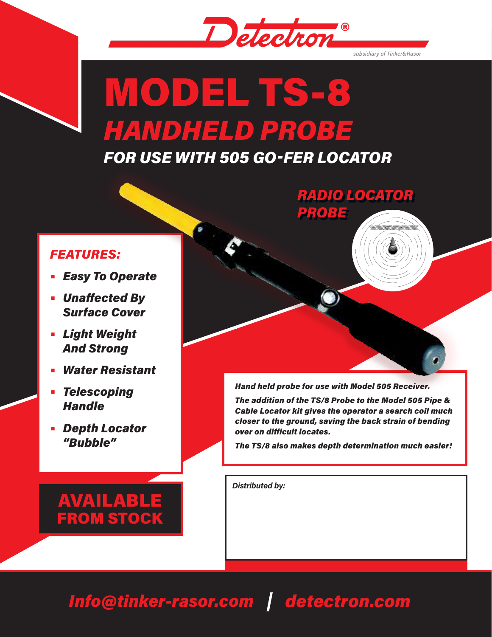

*subsidiary of Tinker&Rasor*

<u> MINISTER M</u>

# MODEL TS-8 *HANDHELD PROBE*

*FOR USE WITH 505 GO-FER LOCATOR*

## *FEATURES:*

- **•** *Easy To Operate*
- **•** *Unaffected By Surface Cover*
- **•** *Light Weight And Strong*
- **•** *Water Resistant*
- **•** *Telescoping Handle*
- **•** *Depth Locator "Bubble"*



*RADIO LOCATOR*

*PROBE*

*Hand held probe for use with Model 505 Receiver.* 

*The addition of the TS/8 Probe to the Model 505 Pipe & Cable Locator kit gives the operator a search coil much closer to the ground, saving the back strain of bending over on difficult locates.*

*The TS/8 also makes depth determination much easier!*

*Distributed by:*

# *Info@tinker-rasor.com detectron.com*